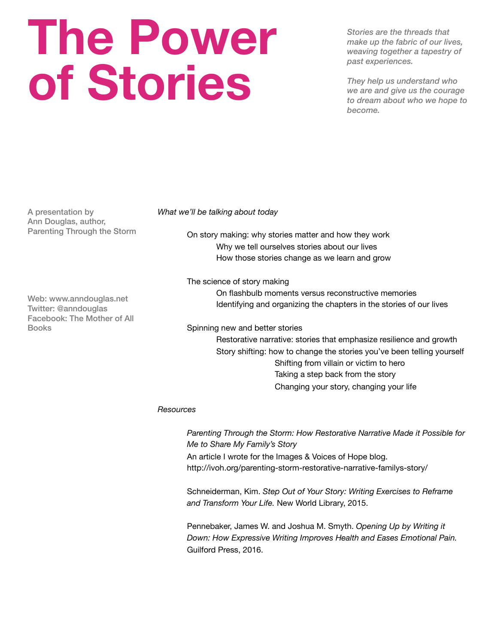## **The Power of Stories**

*Stories are the threads that make up the fabric of our lives, weaving together a tapestry of past experiences.* 

*They help us understand who we are and give us the courage to dream about who we hope to become.* 

A presentation by Ann Douglas, author, Parenting Through the Storm

Web: www.anndouglas.net Twitter: @anndouglas Facebook: The Mother of All **Books** 

*What we'll be talking about today*

On story making: why stories matter and how they work Why we tell ourselves stories about our lives How those stories change as we learn and grow

The science of story making

On flashbulb moments versus reconstructive memories Identifying and organizing the chapters in the stories of our lives

Spinning new and better stories

Restorative narrative: stories that emphasize resilience and growth Story shifting: how to change the stories you've been telling yourself Shifting from villain or victim to hero Taking a step back from the story Changing your story, changing your life

## *Resources*

*Parenting Through the Storm: How Restorative Narrative Made it Possible for Me to Share My Family's Story* An article I wrote for the Images & Voices of Hope blog. http://ivoh.org/parenting-storm-restorative-narrative-familys-story/

Schneiderman, Kim. *Step Out of Your Story: Writing Exercises to Reframe and Transform Your Life.* New World Library, 2015.

Pennebaker, James W. and Joshua M. Smyth. *Opening Up by Writing it Down: How Expressive Writing Improves Health and Eases Emotional Pain.* Guilford Press, 2016.